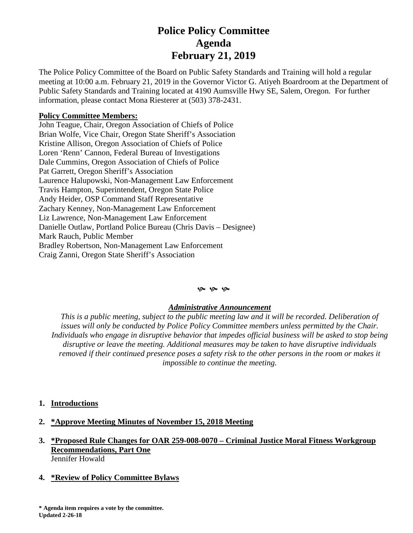# **Police Policy Committee Agenda February 21, 2019**

The Police Policy Committee of the Board on Public Safety Standards and Training will hold a regular meeting at 10:00 a.m. February 21, 2019 in the Governor Victor G. Atiyeh Boardroom at the Department of Public Safety Standards and Training located at 4190 Aumsville Hwy SE, Salem, Oregon. For further information, please contact Mona Riesterer at (503) 378-2431.

## **Policy Committee Members:**

John Teague, Chair, Oregon Association of Chiefs of Police Brian Wolfe, Vice Chair, Oregon State Sheriff's Association Kristine Allison, Oregon Association of Chiefs of Police Loren 'Renn' Cannon, Federal Bureau of Investigations Dale Cummins, Oregon Association of Chiefs of Police Pat Garrett, Oregon Sheriff's Association Laurence Halupowski, Non-Management Law Enforcement Travis Hampton, Superintendent, Oregon State Police Andy Heider, OSP Command Staff Representative Zachary Kenney, Non-Management Law Enforcement Liz Lawrence, Non-Management Law Enforcement Danielle Outlaw, Portland Police Bureau (Chris Davis – Designee) Mark Rauch, Public Member Bradley Robertson, Non-Management Law Enforcement Craig Zanni, Oregon State Sheriff's Association

#### $\mathfrak{G}$   $\mathfrak{G}$   $\mathfrak{G}$

### *Administrative Announcement*

*This is a public meeting, subject to the public meeting law and it will be recorded. Deliberation of issues will only be conducted by Police Policy Committee members unless permitted by the Chair. Individuals who engage in disruptive behavior that impedes official business will be asked to stop being disruptive or leave the meeting. Additional measures may be taken to have disruptive individuals removed if their continued presence poses a safety risk to the other persons in the room or makes it impossible to continue the meeting.*

- **1. Introductions**
- **2. \*Approve Meeting Minutes of November 15, 2018 Meeting**
- **3. \*Proposed Rule Changes for OAR 259-008-0070 – Criminal Justice Moral Fitness Workgroup Recommendations, Part One** Jennifer Howald
- **4. \*Review of Policy Committee Bylaws**